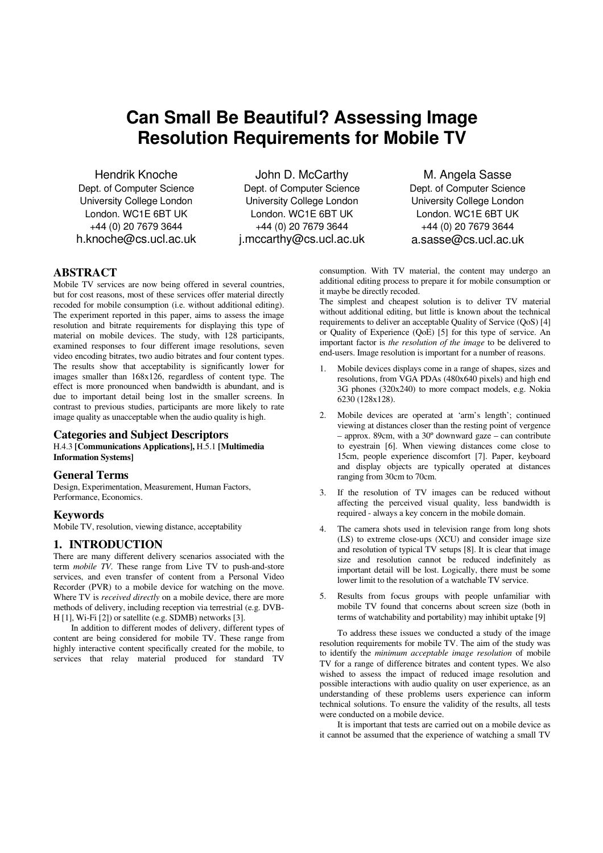# **Can Small Be Beautiful? Assessing Image Resolution Requirements for Mobile TV**

Hendrik Knoche Dept. of Computer Science University College London London. WC1E 6BT UK +44 (0) 20 7679 3644 h.knoche@cs.ucl.ac.uk

John D. McCarthy Dept. of Computer Science University College London London. WC1E 6BT UK +44 (0) 20 7679 3644 j.mccarthy@cs.ucl.ac.uk

M. Angela Sasse Dept. of Computer Science University College London London. WC1E 6BT UK +44 (0) 20 7679 3644 a.sasse@cs.ucl.ac.uk

# **ABSTRACT**

Mobile TV services are now being offered in several countries, but for cost reasons, most of these services offer material directly recoded for mobile consumption (i.e. without additional editing). The experiment reported in this paper, aims to assess the image resolution and bitrate requirements for displaying this type of material on mobile devices. The study, with 128 participants, examined responses to four different image resolutions, seven video encoding bitrates, two audio bitrates and four content types. The results show that acceptability is significantly lower for images smaller than 168x126, regardless of content type. The effect is more pronounced when bandwidth is abundant, and is due to important detail being lost in the smaller screens. In contrast to previous studies, participants are more likely to rate image quality as unacceptable when the audio quality is high.

## **Categories and Subject Descriptors**

H.4.3 **[Communications Applications],** H.5.1 **[Multimedia Information Systems]**

# **General Terms**

Design, Experimentation, Measurement, Human Factors, Performance, Economics.

# **Keywords**

Mobile TV, resolution, viewing distance, acceptability

# **1. INTRODUCTION**

There are many different delivery scenarios associated with the term *mobile TV.* These range from Live TV to push-and-store services, and even transfer of content from a Personal Video Recorder (PVR) to a mobile device for watching on the move. Where TV is *received directly* on a mobile device, there are more methods of delivery, including reception via terrestrial (e.g. DVB- $H[1]$ , Wi-Fi [2]) or satellite (e.g. SDMB) networks [3].

In addition to different modes of delivery, different types of content are being considered for mobile TV. These range from highly interactive content specifically created for the mobile, to services that relay material produced for standard TV

consumption. With TV material, the content may undergo an additional editing process to prepare it for mobile consumption or it maybe be directly recoded.

The simplest and cheapest solution is to deliver TV material without additional editing, but little is known about the technical requirements to deliver an acceptable Quality of Service (QoS) [4] or Quality of Experience (QoE) [5] for this type of service. An important factor is *the resolution of the image* to be delivered to end-users. Image resolution is important for a number of reasons.

- 1. Mobile devices displays come in a range of shapes, sizes and resolutions, from VGA PDAs (480x640 pixels) and high end 3G phones (320x240) to more compact models, e.g. Nokia 6230 (128x128).
- 2. Mobile devices are operated at 'arm's length'; continued viewing at distances closer than the resting point of vergence – approx. 89cm, with a 30º downward gaze – can contribute to eyestrain [6]. When viewing distances come close to 15cm, people experience discomfort [7]. Paper, keyboard and display objects are typically operated at distances ranging from 30cm to 70cm.
- 3. If the resolution of TV images can be reduced without affecting the perceived visual quality, less bandwidth is required - always a key concern in the mobile domain.
- 4. The camera shots used in television range from long shots (LS) to extreme close-ups (XCU) and consider image size and resolution of typical TV setups [8]. It is clear that image size and resolution cannot be reduced indefinitely as important detail will be lost. Logically, there must be some lower limit to the resolution of a watchable TV service.
- 5. Results from focus groups with people unfamiliar with mobile TV found that concerns about screen size (both in terms of watchability and portability) may inhibit uptake [9]

To address these issues we conducted a study of the image resolution requirements for mobile TV. The aim of the study was to identify the *minimum acceptable image resolution* of mobile TV for a range of difference bitrates and content types. We also wished to assess the impact of reduced image resolution and possible interactions with audio quality on user experience, as an understanding of these problems users experience can inform technical solutions. To ensure the validity of the results, all tests were conducted on a mobile device.

It is important that tests are carried out on a mobile device as it cannot be assumed that the experience of watching a small TV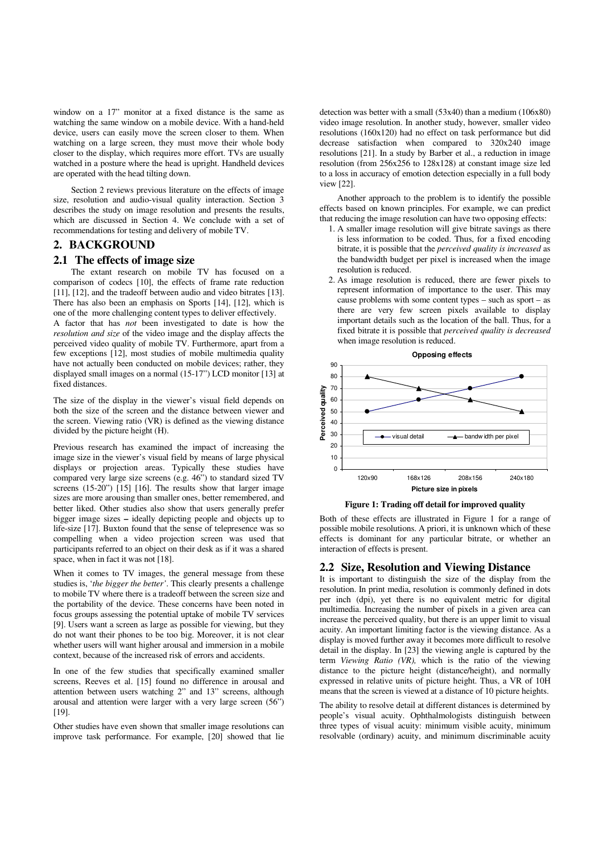window on a 17" monitor at a fixed distance is the same as watching the same window on a mobile device. With a hand-held device, users can easily move the screen closer to them. When watching on a large screen, they must move their whole body closer to the display, which requires more effort. TVs are usually watched in a posture where the head is upright. Handheld devices are operated with the head tilting down.

Section 2 reviews previous literature on the effects of image size, resolution and audio-visual quality interaction. Section 3 describes the study on image resolution and presents the results, which are discussed in Section 4. We conclude with a set of recommendations for testing and delivery of mobile TV.

#### **2. BACKGROUND**

### **2.1 The effects of image size**

The extant research on mobile TV has focused on a comparison of codecs [10], the effects of frame rate reduction [11], [12], and the tradeoff between audio and video bitrates [13]. There has also been an emphasis on Sports [14], [12], which is one of the more challenging content types to deliver effectively.

A factor that has *not* been investigated to date is how the *resolution and size* of the video image and the display affects the perceived video quality of mobile TV. Furthermore, apart from a few exceptions [12], most studies of mobile multimedia quality have not actually been conducted on mobile devices; rather, they displayed small images on a normal (15-17") LCD monitor [13] at fixed distances.

The size of the display in the viewer's visual field depends on both the size of the screen and the distance between viewer and the screen. Viewing ratio (VR) is defined as the viewing distance divided by the picture height (H).

Previous research has examined the impact of increasing the image size in the viewer's visual field by means of large physical displays or projection areas. Typically these studies have compared very large size screens (e.g. 46") to standard sized TV screens (15-20") [15] [16]. The results show that larger image sizes are more arousing than smaller ones, better remembered, and better liked. Other studies also show that users generally prefer bigger image sizes **–** ideally depicting people and objects up to life-size [17]. Buxton found that the sense of telepresence was so compelling when a video projection screen was used that participants referred to an object on their desk as if it was a shared space, when in fact it was not [18].

When it comes to TV images, the general message from these studies is, '*the bigger the better'*. This clearly presents a challenge to mobile TV where there is a tradeoff between the screen size and the portability of the device. These concerns have been noted in focus groups assessing the potential uptake of mobile TV services [9]. Users want a screen as large as possible for viewing, but they do not want their phones to be too big. Moreover, it is not clear whether users will want higher arousal and immersion in a mobile context, because of the increased risk of errors and accidents.

In one of the few studies that specifically examined smaller screens, Reeves et al. [15] found no difference in arousal and attention between users watching 2" and 13" screens, although arousal and attention were larger with a very large screen (56") [19].

Other studies have even shown that smaller image resolutions can improve task performance. For example, [20] showed that lie

detection was better with a small (53x40) than a medium (106x80) video image resolution. In another study, however, smaller video resolutions (160x120) had no effect on task performance but did decrease satisfaction when compared to 320x240 image resolutions [21]. In a study by Barber et al., a reduction in image resolution (from 256x256 to 128x128) at constant image size led to a loss in accuracy of emotion detection especially in a full body view [22].

Another approach to the problem is to identify the possible effects based on known principles. For example, we can predict that reducing the image resolution can have two opposing effects:

- 1. A smaller image resolution will give bitrate savings as there is less information to be coded. Thus, for a fixed encoding bitrate, it is possible that the *perceived quality is increased* as the bandwidth budget per pixel is increased when the image resolution is reduced.
- 2. As image resolution is reduced, there are fewer pixels to represent information of importance to the user. This may cause problems with some content types – such as sport – as there are very few screen pixels available to display important details such as the location of the ball. Thus, for a fixed bitrate it is possible that *perceived quality is decreased* when image resolution is reduced.



**Figure 1: Trading off detail for improved quality**

Both of these effects are illustrated in Figure 1 for a range of possible mobile resolutions. A priori, it is unknown which of these effects is dominant for any particular bitrate, or whether an interaction of effects is present.

#### **2.2 Size, Resolution and Viewing Distance**

It is important to distinguish the size of the display from the resolution. In print media, resolution is commonly defined in dots per inch (dpi), yet there is no equivalent metric for digital multimedia. Increasing the number of pixels in a given area can increase the perceived quality, but there is an upper limit to visual acuity. An important limiting factor is the viewing distance. As a display is moved further away it becomes more difficult to resolve detail in the display. In [23] the viewing angle is captured by the term *Viewing Ratio (VR),* which is the ratio of the viewing distance to the picture height (distance/height), and normally expressed in relative units of picture height. Thus, a VR of 10H means that the screen is viewed at a distance of 10 picture heights.

The ability to resolve detail at different distances is determined by people's visual acuity. Ophthalmologists distinguish between three types of visual acuity: minimum visible acuity, minimum resolvable (ordinary) acuity, and minimum discriminable acuity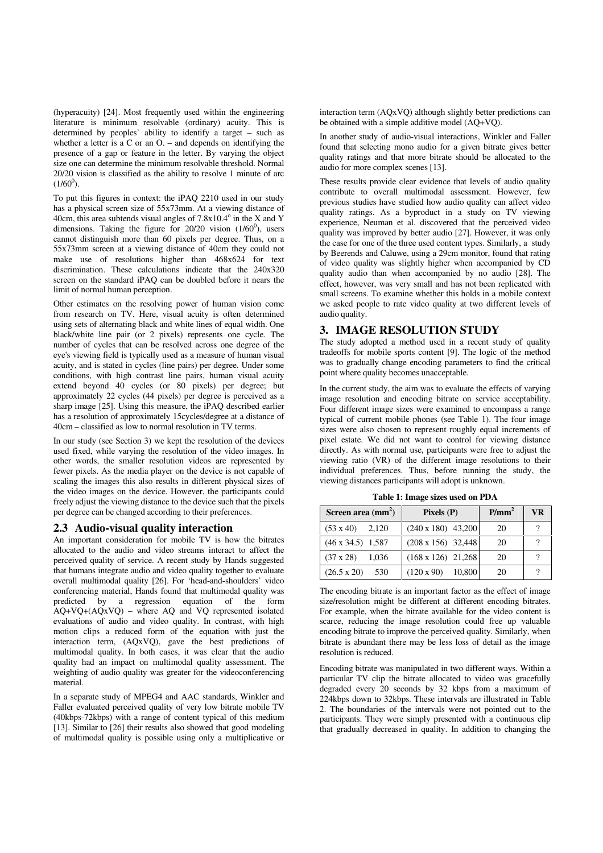(hyperacuity) [24]. Most frequently used within the engineering literature is minimum resolvable (ordinary) acuity. This is determined by peoples' ability to identify a target – such as whether a letter is a  $C$  or an  $O.$  – and depends on identifying the presence of a gap or feature in the letter. By varying the object size one can determine the minimum resolvable threshold. Normal 20/20 vision is classified as the ability to resolve 1 minute of arc  $(1/60^0)$ .

To put this figures in context: the iPAQ 2210 used in our study has a physical screen size of 55x73mm. At a viewing distance of 40cm, this area subtends visual angles of  $7.8x10.4^\circ$  in the X and Y dimensions. Taking the figure for  $20/20$  vision  $(1/60^0)$ , users cannot distinguish more than 60 pixels per degree. Thus, on a 55x73mm screen at a viewing distance of 40cm they could not make use of resolutions higher than 468x624 for text discrimination. These calculations indicate that the 240x320 screen on the standard iPAQ can be doubled before it nears the limit of normal human perception.

Other estimates on the resolving power of human vision come from research on TV. Here, visual acuity is often determined using sets of alternating black and white lines of equal width. One black/white line pair (or 2 pixels) represents one cycle. The number of cycles that can be resolved across one degree of the eye's viewing field is typically used as a measure of human visual acuity, and is stated in cycles (line pairs) per degree. Under some conditions, with high contrast line pairs, human visual acuity extend beyond 40 cycles (or 80 pixels) per degree; but approximately 22 cycles (44 pixels) per degree is perceived as a sharp image [25]. Using this measure, the iPAQ described earlier has a resolution of approximately 15cycles/degree at a distance of 40cm – classified as low to normal resolution in TV terms.

In our study (see Section 3) we kept the resolution of the devices used fixed, while varying the resolution of the video images. In other words, the smaller resolution videos are represented by fewer pixels. As the media player on the device is not capable of scaling the images this also results in different physical sizes of the video images on the device. However, the participants could freely adjust the viewing distance to the device such that the pixels per degree can be changed according to their preferences.

## **2.3 Audio-visual quality interaction**

An important consideration for mobile TV is how the bitrates allocated to the audio and video streams interact to affect the perceived quality of service. A recent study by Hands suggested that humans integrate audio and video quality together to evaluate overall multimodal quality [26]. For 'head-and-shoulders' video conferencing material, Hands found that multimodal quality was predicted by a regression equation of the form AQ+VQ+(AQxVQ) – where AQ and VQ represented isolated evaluations of audio and video quality. In contrast, with high motion clips a reduced form of the equation with just the interaction term, (AQxVQ), gave the best predictions of multimodal quality. In both cases, it was clear that the audio quality had an impact on multimodal quality assessment. The weighting of audio quality was greater for the videoconferencing material.

In a separate study of MPEG4 and AAC standards, Winkler and Faller evaluated perceived quality of very low bitrate mobile TV (40kbps-72kbps) with a range of content typical of this medium [13]. Similar to [26] their results also showed that good modeling of multimodal quality is possible using only a multiplicative or

interaction term (AQxVQ) although slightly better predictions can be obtained with a simple additive model (AQ+VQ).

In another study of audio-visual interactions, Winkler and Faller found that selecting mono audio for a given bitrate gives better quality ratings and that more bitrate should be allocated to the audio for more complex scenes [13].

These results provide clear evidence that levels of audio quality contribute to overall multimodal assessment. However, few previous studies have studied how audio quality can affect video quality ratings. As a byproduct in a study on TV viewing experience, Neuman et al. discovered that the perceived video quality was improved by better audio [27]. However, it was only the case for one of the three used content types. Similarly, a study by Beerends and Caluwe, using a 29cm monitor, found that rating of video quality was slightly higher when accompanied by CD quality audio than when accompanied by no audio [28]. The effect, however, was very small and has not been replicated with small screens. To examine whether this holds in a mobile context we asked people to rate video quality at two different levels of audio quality.

# **3. IMAGE RESOLUTION STUDY**

The study adopted a method used in a recent study of quality tradeoffs for mobile sports content [9]. The logic of the method was to gradually change encoding parameters to find the critical point where quality becomes unacceptable.

In the current study, the aim was to evaluate the effects of varying image resolution and encoding bitrate on service acceptability. Four different image sizes were examined to encompass a range typical of current mobile phones (see Table 1). The four image sizes were also chosen to represent roughly equal increments of pixel estate. We did not want to control for viewing distance directly. As with normal use, participants were free to adjust the viewing ratio (VR) of the different image resolutions to their individual preferences. Thus, before running the study, the viewing distances participants will adopt is unknown.

| Screen area $(mm2)$       | Pixels $(P)$                | $P/mm^2$ | VR. |
|---------------------------|-----------------------------|----------|-----|
| $(53 \times 40)$ 2,120    | $(240 \times 180)$ 43,200   | 20       | 2   |
| $(46 \times 34.5)$ 1,587  | $(208 \times 156)$ 32,448   | 20       | 2   |
| $(37 \times 28)$<br>1,036 | $(168 \times 126)$ 21,268   | 20       | റ   |
| $(26.5 \times 20)$<br>530 | $(120 \times 90)$<br>10,800 | 20       |     |

**Table 1: Image sizes used on PDA**

The encoding bitrate is an important factor as the effect of image size/resolution might be different at different encoding bitrates. For example, when the bitrate available for the video content is scarce, reducing the image resolution could free up valuable encoding bitrate to improve the perceived quality. Similarly, when bitrate is abundant there may be less loss of detail as the image resolution is reduced.

Encoding bitrate was manipulated in two different ways. Within a particular TV clip the bitrate allocated to video was gracefully degraded every 20 seconds by 32 kbps from a maximum of 224kbps down to 32kbps. These intervals are illustrated in Table 2. The boundaries of the intervals were not pointed out to the participants. They were simply presented with a continuous clip that gradually decreased in quality. In addition to changing the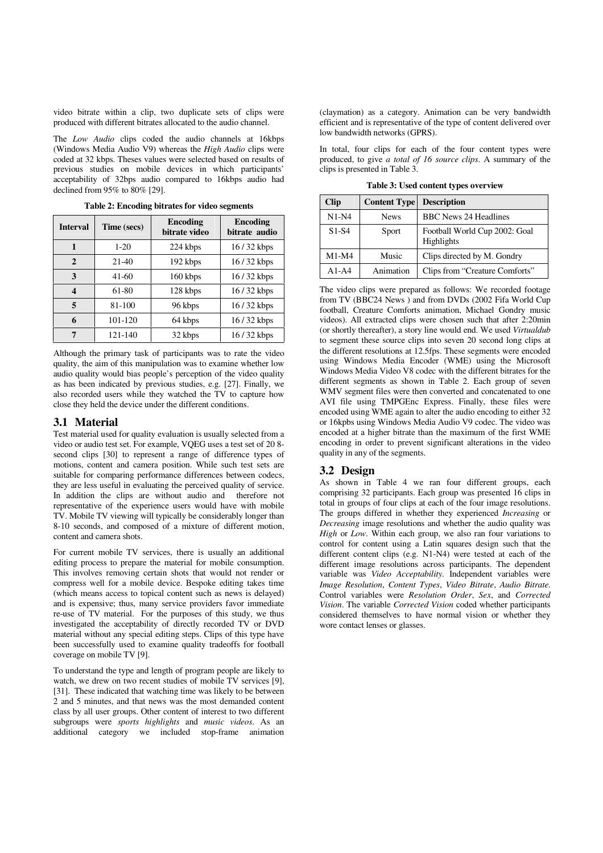video bitrate within a clip, two duplicate sets of clips were produced with different bitrates allocated to the audio channel.

The *Low Audio* clips coded the audio channels at 16kbps (Windows Media Audio V9) whereas the *High Audio* clips were coded at 32 kbps. Theses values were selected based on results of previous studies on mobile devices in which participants' acceptability of 32bps audio compared to 16kbps audio had declined from 95% to 80% [29].

| <b>Interval</b> | Time (secs) | <b>Encoding</b><br>bitrate video | <b>Encoding</b><br>bitrate audio |
|-----------------|-------------|----------------------------------|----------------------------------|
| 1               | $1-20$      | 224 kbps                         | 16/32 kbps                       |
| $\mathbf{2}$    | $21-40$     | 192 kbps                         | 16/32 kbps                       |
| 3               | $41-60$     | 160 kbps                         | 16/32 kbps                       |
| 4               | 61-80       | 128 kbps                         | 16/32 kbps                       |
| 5               | 81-100      | 96 kbps                          | 16/32 kbps                       |
| 6               | 101-120     | 64 kbps                          | 16/32 kbps                       |
| 7               | 121-140     | 32 kbps                          | 16/32 kbps                       |

**Table 2: Encoding bitrates for video segments**

Although the primary task of participants was to rate the video quality, the aim of this manipulation was to examine whether low audio quality would bias people's perception of the video quality as has been indicated by previous studies, e.g. [27]. Finally, we also recorded users while they watched the TV to capture how close they held the device under the different conditions.

# **3.1 Material**

Test material used for quality evaluation is usually selected from a video or audio test set. For example, VQEG uses a test set of 20 8 second clips [30] to represent a range of difference types of motions, content and camera position. While such test sets are suitable for comparing performance differences between codecs, they are less useful in evaluating the perceived quality of service. In addition the clips are without audio and therefore not representative of the experience users would have with mobile TV. Mobile TV viewing will typically be considerably longer than 8-10 seconds, and composed of a mixture of different motion, content and camera shots.

For current mobile TV services, there is usually an additional editing process to prepare the material for mobile consumption. This involves removing certain shots that would not render or compress well for a mobile device. Bespoke editing takes time (which means access to topical content such as news is delayed) and is expensive; thus, many service providers favor immediate re-use of TV material. For the purposes of this study, we thus investigated the acceptability of directly recorded TV or DVD material without any special editing steps. Clips of this type have been successfully used to examine quality tradeoffs for football coverage on mobile TV [9].

To understand the type and length of program people are likely to watch, we drew on two recent studies of mobile TV services [9], [31]. These indicated that watching time was likely to be between 2 and 5 minutes, and that news was the most demanded content class by all user groups. Other content of interest to two different subgroups were *sports highlights* and *music videos*. As an additional category we included stop-frame animation

(claymation) as a category. Animation can be very bandwidth efficient and is representative of the type of content delivered over low bandwidth networks (GPRS).

In total, four clips for each of the four content types were produced, to give *a total of 16 source clips*. A summary of the clips is presented in Table 3.

**Table 3: Used content types overview**

| <b>Clip</b> | <b>Content Type</b> | <b>Description</b>                          |
|-------------|---------------------|---------------------------------------------|
| $N1-N4$     | <b>News</b>         | <b>BBC</b> News 24 Headlines                |
| $S1-S4$     | Sport               | Football World Cup 2002: Goal<br>Highlights |
| $M1-M4$     | Music               | Clips directed by M. Gondry                 |
| $A1-A4$     | Animation           | Clips from "Creature Comforts"              |

The video clips were prepared as follows: We recorded footage from TV (BBC24 News ) and from DVDs (2002 Fifa World Cup football, Creature Comforts animation, Michael Gondry music videos). All extracted clips were chosen such that after 2:20min (or shortly thereafter), a story line would end. We used *Virtualdub* to segment these source clips into seven 20 second long clips at the different resolutions at 12.5fps. These segments were encoded using Windows Media Encoder (WME) using the Microsoft Windows Media Video V8 codec with the different bitrates for the different segments as shown in Table 2. Each group of seven WMV segment files were then converted and concatenated to one AVI file using TMPGEnc Express. Finally, these files were encoded using WME again to alter the audio encoding to either 32 or 16kpbs using Windows Media Audio V9 codec. The video was encoded at a higher bitrate than the maximum of the first WME encoding in order to prevent significant alterations in the video quality in any of the segments.

# **3.2 Design**

As shown in Table 4 we ran four different groups, each comprising 32 participants. Each group was presented 16 clips in total in groups of four clips at each of the four image resolutions. The groups differed in whether they experienced *Increasing* or *Decreasing* image resolutions and whether the audio quality was *High* or *Low*. Within each group, we also ran four variations to control for content using a Latin squares design such that the different content clips (e.g. N1-N4) were tested at each of the different image resolutions across participants. The dependent variable was *Video Acceptability*. Independent variables were *Image Resolution*, *Content Types*, *Video Bitrate*, *Audio Bitrate.* Control variables were *Resolution Order*, *Sex*, and *Corrected Vision*. The variable *Corrected Vision* coded whether participants considered themselves to have normal vision or whether they wore contact lenses or glasses.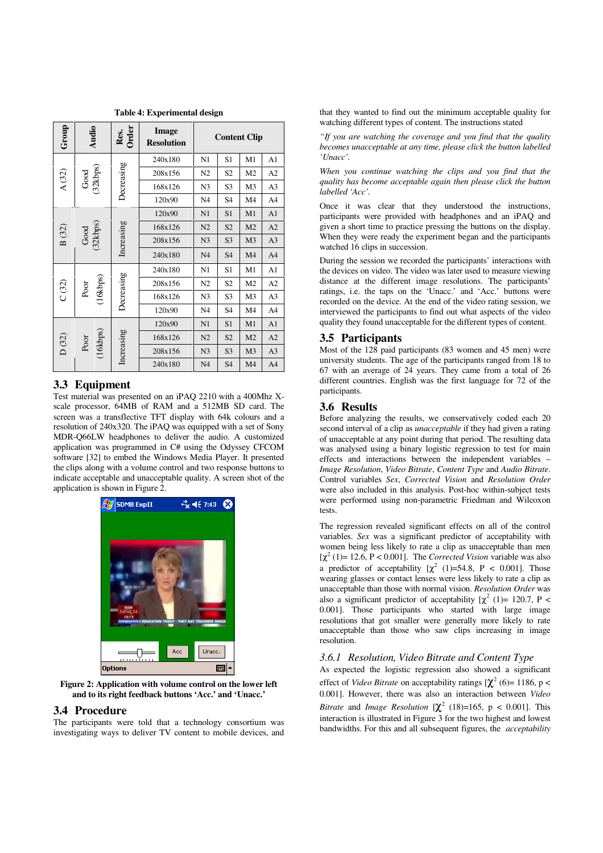| Group | Audio                                   | Res.<br>Order | <b>Image</b><br><b>Resolution</b> |                |                | <b>Content Clip</b> |                |
|-------|-----------------------------------------|---------------|-----------------------------------|----------------|----------------|---------------------|----------------|
|       |                                         |               | 240x180                           | N1             | S <sub>1</sub> | M1                  | A1             |
| A(32) |                                         | Decreasing    | 208x156                           | N <sub>2</sub> | S <sub>2</sub> | M <sub>2</sub>      | A2             |
|       | Good<br>(32kbps)                        |               | 168x126                           | N <sub>3</sub> | S <sub>3</sub> | M <sub>3</sub>      | A <sub>3</sub> |
|       |                                         |               | 120x90                            | N <sub>4</sub> | S <sub>4</sub> | M <sub>4</sub>      | A4             |
|       |                                         |               | 120x90                            | N <sub>1</sub> | S <sub>1</sub> | M1                  | A1             |
|       | Good<br>(32kbps)                        |               | 168x126                           | N2             | S <sub>2</sub> | M <sub>2</sub>      | A2             |
| B(32) |                                         | Increasing    | 208x156                           | N <sub>3</sub> | S <sub>3</sub> | M <sub>3</sub>      | A <sub>3</sub> |
|       |                                         |               | 240x180                           | N <sub>4</sub> | S <sub>4</sub> | M <sub>4</sub>      | A4             |
|       |                                         |               | 240x180                           | N1             | S <sub>1</sub> | M1                  | A1             |
|       |                                         |               | 208x156                           | N <sub>2</sub> | S <sub>2</sub> | M <sub>2</sub>      | A <sub>2</sub> |
| C(32) | Poor<br>(16kbps)                        | Decreasing    | 168x126                           | N <sub>3</sub> | S <sub>3</sub> | M <sub>3</sub>      | A <sub>3</sub> |
|       |                                         |               | 120x90                            | N <sub>4</sub> | S <sub>4</sub> | M <sub>4</sub>      | A <sub>4</sub> |
|       | Increasing<br>Poor<br>(16kbps)<br>D(32) |               | 120x90                            | N <sub>1</sub> | S <sub>1</sub> | M1                  | A1             |
|       |                                         |               | 168x126                           | N2             | S <sub>2</sub> | M <sub>2</sub>      | A2             |
|       |                                         | 208x156       | N <sub>3</sub>                    | S <sub>3</sub> | M <sub>3</sub> | A <sub>3</sub>      |                |
|       |                                         |               | 240x180                           | N <sub>4</sub> | S <sub>4</sub> | M <sub>4</sub>      | A4             |

**Table 4: Experimental design**

# **3.3 Equipment**

Test material was presented on an iPAQ 2210 with a 400Mhz Xscale processor, 64MB of RAM and a 512MB SD card. The screen was a transflective TFT display with 64k colours and a resolution of 240x320. The iPAQ was equipped with a set of Sony MDR-Q66LW headphones to deliver the audio. A customized application was programmed in C# using the Odyssey CFCOM software [32] to embed the Windows Media Player. It presented the clips along with a volume control and two response buttons to indicate acceptable and unacceptable quality. A screen shot of the application is shown in Figure 2.



**Figure 2: Application with volume control on the lower left and to its right feedback buttons 'Acc.' and 'Unacc.'**

#### **3.4 Procedure**

The participants were told that a technology consortium was investigating ways to deliver TV content to mobile devices, and

that they wanted to find out the minimum acceptable quality for watching different types of content. The instructions stated

*"If you are watching the coverage and you find that the quality becomes unacceptable at any time, please click the button labelled 'Unacc'.*

*When you continue watching the clips and you find that the quality has become acceptable again then please click the button labelled 'Acc'.*

Once it was clear that they understood the instructions, participants were provided with headphones and an iPAQ and given a short time to practice pressing the buttons on the display. When they were ready the experiment began and the participants watched 16 clips in succession.

During the session we recorded the participants' interactions with the devices on video. The video was later used to measure viewing distance at the different image resolutions. The participants' ratings, i.e. the taps on the 'Unacc.' and 'Acc.' buttons were recorded on the device. At the end of the video rating session, we interviewed the participants to find out what aspects of the video quality they found unacceptable for the different types of content.

## **3.5 Participants**

Most of the 128 paid participants (83 women and 45 men) were university students. The age of the participants ranged from 18 to 67 with an average of 24 years. They came from a total of 26 different countries. English was the first language for 72 of the participants.

#### **3.6 Results**

Before analyzing the results, we conservatively coded each 20 second interval of a clip as *unacceptable* if they had given a rating of unacceptable at any point during that period. The resulting data was analysed using a binary logistic regression to test for main effects and interactions between the independent variables – *Image Resolution*, *Video Bitrate*, *Content Type* and *Audio Bitrate*. Control variables *Sex*, *Corrected Vision* and *Resolution Order* were also included in this analysis. Post-hoc within-subject tests were performed using non-parametric Friedman and Wilcoxon tests.

The regression revealed significant effects on all of the control variables. *Sex* was a significant predictor of acceptability with women being less likely to rate a clip as unacceptable than men  $[\chi^2(1) = 12.6, P < 0.001]$ . The *Corrected Vision* variable was also a predictor of acceptability  $[\chi^2 \ (1)=54.8, P < 0.001]$ . Those wearing glasses or contact lenses were less likely to rate a clip as unacceptable than those with normal vision. *Resolution Order* was also a significant predictor of acceptability  $[\chi^2 (1) = 120.7, P <$ 0.001]. Those participants who started with large image resolutions that got smaller were generally more likely to rate unacceptable than those who saw clips increasing in image resolution.

### *3.6.1 Resolution, Video Bitrate and Content Type*

As expected the logistic regression also showed a significant effect of *Video Bitrate* on acceptability ratings  $[\chi^2(6) = 1186, p <$ 0.001]. However, there was also an interaction between *Video Bitrate* and *Image Resolution*  $[\chi^2 \ (18) = 165, p < 0.001]$ . This interaction is illustrated in Figure 3 for the two highest and lowest bandwidths. For this and all subsequent figures, the *acceptability*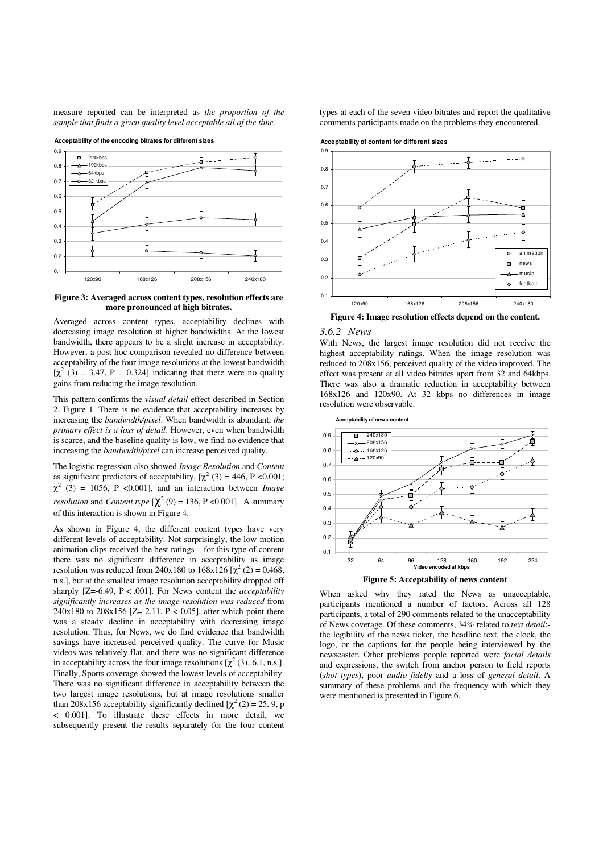measure reported can be interpreted as *the proportion of the sample that finds a given quality level acceptable all of the time.*



**Acceptability of the encoding bitrates for different sizes**

**Figure 3: Averaged across content types, resolution effects are more pronounced at high bitrates.**

Averaged across content types, acceptability declines with decreasing image resolution at higher bandwidths. At the lowest bandwidth, there appears to be a slight increase in acceptability. However, a post-hoc comparison revealed no difference between acceptability of the four image resolutions at the lowest bandwidth  $[\chi^2(3) = 3.47, P = 0.324]$  indicating that there were no quality gains from reducing the image resolution.

This pattern confirms the *visual detail* effect described in Section 2, Figure 1. There is no evidence that acceptability increases by increasing the *bandwidth/pixel*. When bandwidth is abundant, *the primary effect is a loss of detail*. However, even when bandwidth is scarce, and the baseline quality is low, we find no evidence that increasing the *bandwidth/pixel* can increase perceived quality.

The logistic regression also showed *Image Resolution* and *Content* as significant predictors of acceptability,  $[\chi^2(3) = 446, P < 0.001;$  $\chi^2$  (3) = 1056, P <0.001], and an interaction between *Image resolution* and *Content type*  $[\chi^2(9) = 136, P < 0.001]$ . A summary of this interaction is shown in Figure 4.

As shown in Figure 4, the different content types have very different levels of acceptability. Not surprisingly, the low motion animation clips received the best ratings – for this type of content there was no significant difference in acceptability as image resolution was reduced from 240x180 to  $168x126 [ \chi^2 (2) = 0.468,$ n.s.], but at the smallest image resolution acceptability dropped off sharply [Z=-6.49, P < .001]. For News content the *acceptability significantly increases as the image resolution was reduced* from 240x180 to 208x156 [Z=-2.11, P < 0.05], after which point there was a steady decline in acceptability with decreasing image resolution. Thus, for News, we do find evidence that bandwidth savings have increased perceived quality. The curve for Music videos was relatively flat, and there was no significant difference in acceptability across the four image resolutions  $[\chi^2(3)=6.1, n.s.]$ . Finally, Sports coverage showed the lowest levels of acceptability. There was no significant difference in acceptability between the two largest image resolutions, but at image resolutions smaller than 208x156 acceptability significantly declined  $[\chi^2(2) = 25.9, p$ < 0.001]. To illustrate these effects in more detail, we subsequently present the results separately for the four content types at each of the seven video bitrates and report the qualitative comments participants made on the problems they encountered.

**Acceptability of content for different sizes**



**Figure 4: Image resolution effects depend on the content.**

#### *3.6.2 News*

**Acceptability of news content**

With News, the largest image resolution did not receive the highest acceptability ratings. When the image resolution was reduced to 208x156, perceived quality of the video improved. The effect was present at all video bitrates apart from 32 and 64kbps. There was also a dramatic reduction in acceptability between 168x126 and 120x90. At 32 kbps no differences in image resolution were observable.





When asked why they rated the News as unacceptable, participants mentioned a number of factors. Across all 128 participants, a total of 290 comments related to the unacceptability of News coverage. Of these comments, 34% related to *text detail*: the legibility of the news ticker, the headline text, the clock, the logo, or the captions for the people being interviewed by the newscaster. Other problems people reported were *facial details* and expressions, the switch from anchor person to field reports (*shot types*), poor *audio fidelty* and a loss of *general detail*. A summary of these problems and the frequency with which they were mentioned is presented in Figure 6.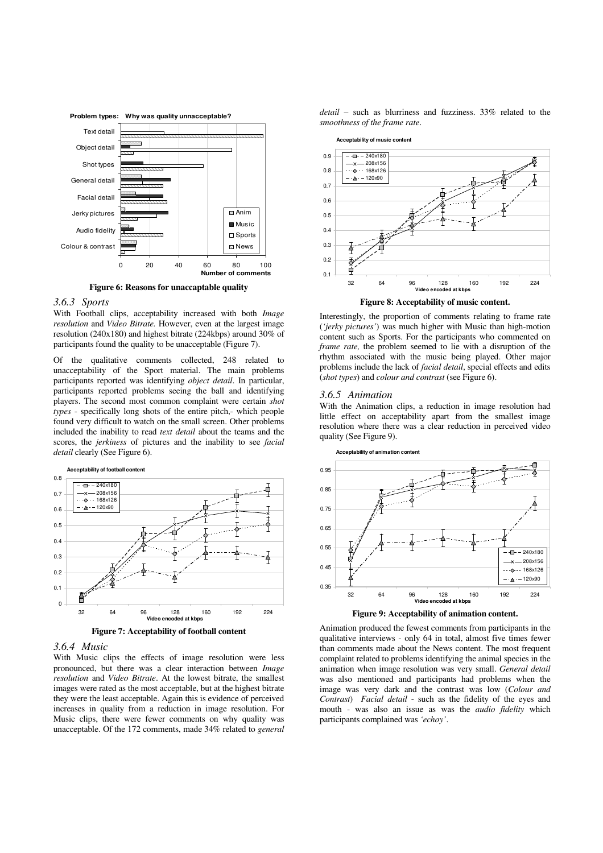

**Figure 6: Reasons for unaccaptable quality**

#### *3.6.3 Sports*

With Football clips, acceptability increased with both *Image resolution* and *Video Bitrate.* However, even at the largest image resolution (240x180) and highest bitrate (224kbps) around 30% of participants found the quality to be unacceptable (Figure 7).

Of the qualitative comments collected, 248 related to unacceptability of the Sport material. The main problems participants reported was identifying *object detail*. In particular, participants reported problems seeing the ball and identifying players. The second most common complaint were certain *shot types* - specifically long shots of the entire pitch,- which people found very difficult to watch on the small screen. Other problems included the inability to read *text detail* about the teams and the scores, the *jerkiness* of pictures and the inability to see *facial detail* clearly (See Figure 6).





## *3.6.4 Music*

With Music clips the effects of image resolution were less pronounced, but there was a clear interaction between *Image resolution* and *Video Bitrate*. At the lowest bitrate, the smallest images were rated as the most acceptable, but at the highest bitrate they were the least acceptable. Again this is evidence of perceived increases in quality from a reduction in image resolution. For Music clips, there were fewer comments on why quality was unacceptable. Of the 172 comments, made 34% related to *general* *detail* – such as blurriness and fuzziness. 33% related to the *smoothness of the frame rate*.





Interestingly, the proportion of comments relating to frame rate (*'jerky pictures'*) was much higher with Music than high-motion content such as Sports. For the participants who commented on *frame rate,* the problem seemed to lie with a disruption of the rhythm associated with the music being played. Other major problems include the lack of *facial detail*, special effects and edits (*shot types*) and *colour and contrast* (see Figure 6).

#### *3.6.5 Animation*

With the Animation clips, a reduction in image resolution had little effect on acceptability apart from the smallest image resolution where there was a clear reduction in perceived video quality (See Figure 9).





Animation produced the fewest comments from participants in the qualitative interviews - only 64 in total, almost five times fewer than comments made about the News content. The most frequent complaint related to problems identifying the animal species in the animation when image resolution was very small. *General detail* was also mentioned and participants had problems when the image was very dark and the contrast was low (*Colour and Contrast*) *Facial detail* - such as the fidelity of the eyes and mouth - was also an issue as was the *audio fidelity* which participants complained was *'echoy'* .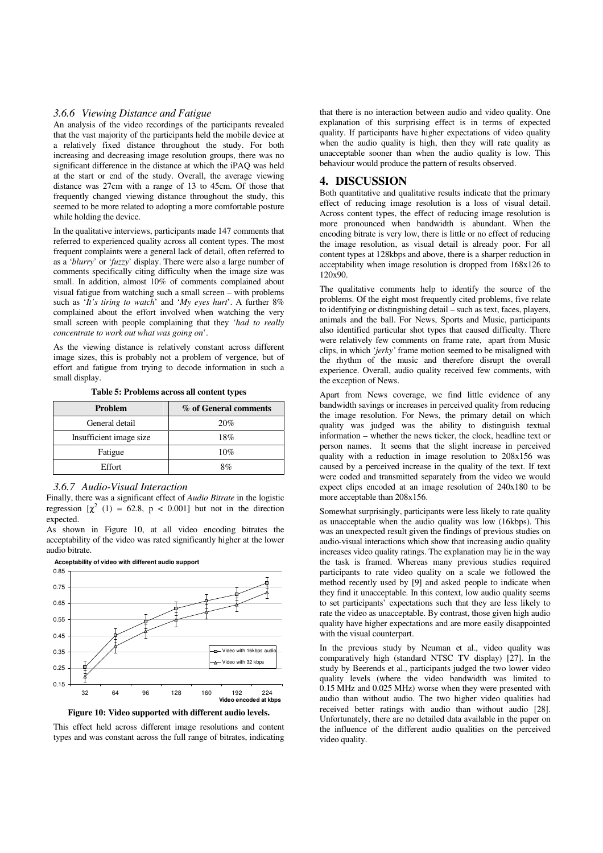#### *3.6.6 Viewing Distance and Fatigue*

An analysis of the video recordings of the participants revealed that the vast majority of the participants held the mobile device at a relatively fixed distance throughout the study. For both increasing and decreasing image resolution groups, there was no significant difference in the distance at which the iPAQ was held at the start or end of the study. Overall, the average viewing distance was 27cm with a range of 13 to 45cm. Of those that frequently changed viewing distance throughout the study, this seemed to be more related to adopting a more comfortable posture while holding the device.

In the qualitative interviews, participants made 147 comments that referred to experienced quality across all content types. The most frequent complaints were a general lack of detail, often referred to as a '*blurry*' or '*fuzzy*' display. There were also a large number of comments specifically citing difficulty when the image size was small. In addition, almost 10% of comments complained about visual fatigue from watching such a small screen – with problems such as '*It's tiring to watch*' and '*My eyes hurt*' . A further 8% complained about the effort involved when watching the very small screen with people complaining that they '*had to really concentrate to work out what was going on*' .

As the viewing distance is relatively constant across different image sizes, this is probably not a problem of vergence, but of effort and fatigue from trying to decode information in such a small display.

|  |  |  | Table 5: Problems across all content types |
|--|--|--|--------------------------------------------|
|--|--|--|--------------------------------------------|

| Problem                 | % of General comments |
|-------------------------|-----------------------|
| General detail          | 20%                   |
| Insufficient image size | 18%                   |
| Fatigue                 | 10%                   |
| Effort                  | 8%                    |

#### *3.6.7 Audio-Visual Interaction*

Finally, there was a significant effect of *Audio Bitrate* in the logistic regression  $[\chi^2$  (1) = 62.8, p < 0.001] but not in the direction expected.

As shown in Figure 10, at all video encoding bitrates the acceptability of the video was rated significantly higher at the lower audio bitrate.



**Acceptability of video with different audio support**

This effect held across different image resolutions and content types and was constant across the full range of bitrates, indicating that there is no interaction between audio and video quality. One explanation of this surprising effect is in terms of expected quality. If participants have higher expectations of video quality when the audio quality is high, then they will rate quality as unacceptable sooner than when the audio quality is low. This behaviour would produce the pattern of results observed.

### **4. DISCUSSION**

Both quantitative and qualitative results indicate that the primary effect of reducing image resolution is a loss of visual detail. Across content types, the effect of reducing image resolution is more pronounced when bandwidth is abundant. When the encoding bitrate is very low, there is little or no effect of reducing the image resolution, as visual detail is already poor. For all content types at 128kbps and above, there is a sharper reduction in acceptability when image resolution is dropped from 168x126 to 120x90.

The qualitative comments help to identify the source of the problems. Of the eight most frequently cited problems, five relate to identifying or distinguishing detail – such as text, faces, players, animals and the ball. For News, Sports and Music, participants also identified particular shot types that caused difficulty. There were relatively few comments on frame rate, apart from Music clips, in which *'jerky'* frame motion seemed to be misaligned with the rhythm of the music and therefore disrupt the overall experience. Overall, audio quality received few comments, with the exception of News.

Apart from News coverage, we find little evidence of any bandwidth savings or increases in perceived quality from reducing the image resolution. For News, the primary detail on which quality was judged was the ability to distinguish textual information – whether the news ticker, the clock, headline text or person names. It seems that the slight increase in perceived quality with a reduction in image resolution to 208x156 was caused by a perceived increase in the quality of the text. If text were coded and transmitted separately from the video we would expect clips encoded at an image resolution of 240x180 to be more acceptable than 208x156.

Somewhat surprisingly, participants were less likely to rate quality as unacceptable when the audio quality was low (16kbps). This was an unexpected result given the findings of previous studies on audio-visual interactions which show that increasing audio quality increases video quality ratings. The explanation may lie in the way the task is framed. Whereas many previous studies required participants to rate video quality on a scale we followed the method recently used by [9] and asked people to indicate when they find it unacceptable. In this context, low audio quality seems to set participants' expectations such that they are less likely to rate the video as unacceptable. By contrast, those given high audio quality have higher expectations and are more easily disappointed with the visual counterpart.

In the previous study by Neuman et al., video quality was comparatively high (standard NTSC TV display) [27]. In the study by Beerends et al., participants judged the two lower video quality levels (where the video bandwidth was limited to 0.15 MHz and 0.025 MHz) worse when they were presented with audio than without audio. The two higher video qualities had received better ratings with audio than without audio [28]. Unfortunately, there are no detailed data available in the paper on the influence of the different audio qualities on the perceived video quality.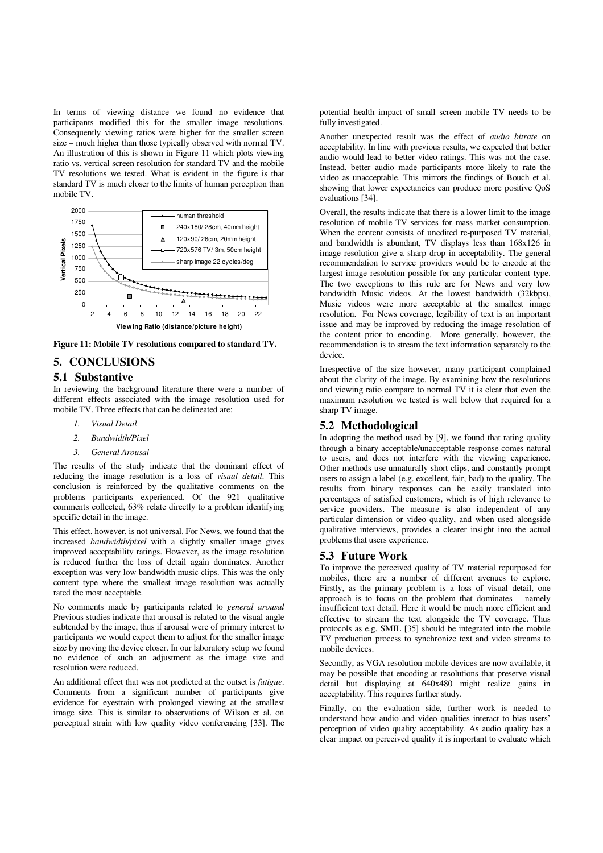In terms of viewing distance we found no evidence that participants modified this for the smaller image resolutions. Consequently viewing ratios were higher for the smaller screen size – much higher than those typically observed with normal TV. An illustration of this is shown in Figure 11 which plots viewing ratio vs. vertical screen resolution for standard TV and the mobile TV resolutions we tested. What is evident in the figure is that standard TV is much closer to the limits of human perception than mobile TV.



**Figure 11: Mobile TV resolutions compared to standard TV.**

# **5. CONCLUSIONS**

### **5.1 Substantive**

In reviewing the background literature there were a number of different effects associated with the image resolution used for mobile TV. Three effects that can be delineated are:

- *1. Visual Detail*
- *2. Bandwidth/Pixel*
- *3. General Arousal*

The results of the study indicate that the dominant effect of reducing the image resolution is a loss of *visual detail*. This conclusion is reinforced by the qualitative comments on the problems participants experienced. Of the 921 qualitative comments collected, 63% relate directly to a problem identifying specific detail in the image.

This effect, however, is not universal. For News, we found that the increased *bandwidth/pixel* with a slightly smaller image gives improved acceptability ratings. However, as the image resolution is reduced further the loss of detail again dominates. Another exception was very low bandwidth music clips. This was the only content type where the smallest image resolution was actually rated the most acceptable.

No comments made by participants related to *general arousal* Previous studies indicate that arousal is related to the visual angle subtended by the image, thus if arousal were of primary interest to participants we would expect them to adjust for the smaller image size by moving the device closer. In our laboratory setup we found no evidence of such an adjustment as the image size and resolution were reduced.

An additional effect that was not predicted at the outset is *fatigue*. Comments from a significant number of participants give evidence for eyestrain with prolonged viewing at the smallest image size. This is similar to observations of Wilson et al. on perceptual strain with low quality video conferencing [33]. The potential health impact of small screen mobile TV needs to be fully investigated.

Another unexpected result was the effect of *audio bitrate* on acceptability. In line with previous results, we expected that better audio would lead to better video ratings. This was not the case. Instead, better audio made participants more likely to rate the video as unacceptable. This mirrors the findings of Bouch et al. showing that lower expectancies can produce more positive QoS evaluations [34].

Overall, the results indicate that there is a lower limit to the image resolution of mobile TV services for mass market consumption. When the content consists of unedited re-purposed TV material, and bandwidth is abundant, TV displays less than 168x126 in image resolution give a sharp drop in acceptability. The general recommendation to service providers would be to encode at the largest image resolution possible for any particular content type. The two exceptions to this rule are for News and very low bandwidth Music videos. At the lowest bandwidth (32kbps), Music videos were more acceptable at the smallest image resolution. For News coverage, legibility of text is an important issue and may be improved by reducing the image resolution of the content prior to encoding. More generally, however, the recommendation is to stream the text information separately to the device.

Irrespective of the size however, many participant complained about the clarity of the image. By examining how the resolutions and viewing ratio compare to normal TV it is clear that even the maximum resolution we tested is well below that required for a sharp TV image.

#### **5.2 Methodological**

In adopting the method used by [9], we found that rating quality through a binary acceptable/unacceptable response comes natural to users, and does not interfere with the viewing experience. Other methods use unnaturally short clips, and constantly prompt users to assign a label (e.g. excellent, fair, bad) to the quality. The results from binary responses can be easily translated into percentages of satisfied customers, which is of high relevance to service providers. The measure is also independent of any particular dimension or video quality, and when used alongside qualitative interviews, provides a clearer insight into the actual problems that users experience.

#### **5.3 Future Work**

To improve the perceived quality of TV material repurposed for mobiles, there are a number of different avenues to explore. Firstly, as the primary problem is a loss of visual detail, one approach is to focus on the problem that dominates – namely insufficient text detail. Here it would be much more efficient and effective to stream the text alongside the TV coverage. Thus protocols as e.g. SMIL [35] should be integrated into the mobile TV production process to synchronize text and video streams to mobile devices.

Secondly, as VGA resolution mobile devices are now available, it may be possible that encoding at resolutions that preserve visual detail but displaying at 640x480 might realize gains in acceptability. This requires further study.

Finally, on the evaluation side, further work is needed to understand how audio and video qualities interact to bias users' perception of video quality acceptability. As audio quality has a clear impact on perceived quality it is important to evaluate which